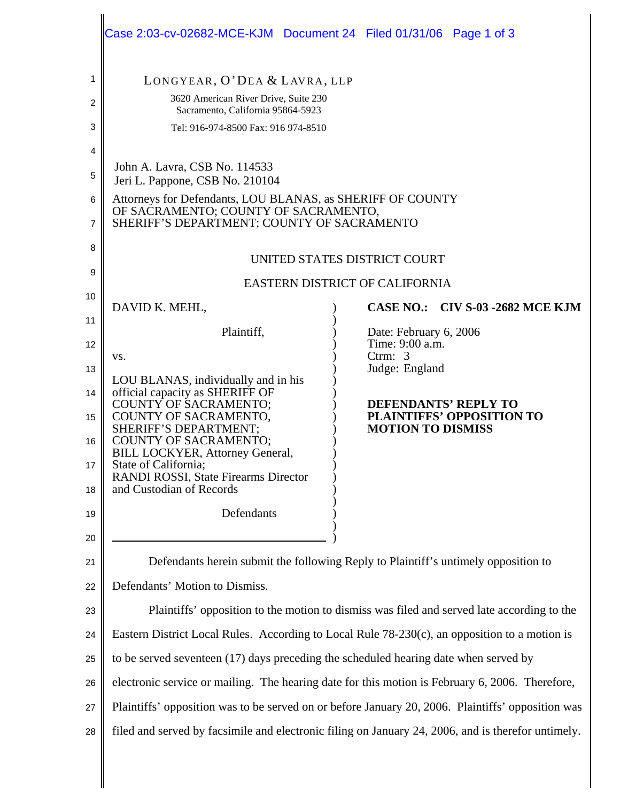|                                                    | Case 2:03-cv-02682-MCE-KJM  Document 24  Filed 01/31/06  Page 1 of 3                                                                                                                                                                                                                                                                                       |                                                                                                                                                                         |  |  |  |
|----------------------------------------------------|------------------------------------------------------------------------------------------------------------------------------------------------------------------------------------------------------------------------------------------------------------------------------------------------------------------------------------------------------------|-------------------------------------------------------------------------------------------------------------------------------------------------------------------------|--|--|--|
| 1<br>2<br>3                                        | LONGYEAR, O'DEA & LAVRA, LLP<br>3620 American River Drive, Suite 230<br>Sacramento, California 95864-5923<br>Tel: 916-974-8500 Fax: 916 974-8510                                                                                                                                                                                                           |                                                                                                                                                                         |  |  |  |
| 4<br>5<br>6<br>7                                   | John A. Lavra, CSB No. 114533<br>Jeri L. Pappone, CSB No. 210104<br>Attorneys for Defendants, LOU BLANAS, as SHERIFF OF COUNTY<br>OF SACRAMENTO; COUNTY OF SACRAMENTO,<br>SHERIFF'S DEPARTMENT; COUNTY OF SACRAMENTO                                                                                                                                       |                                                                                                                                                                         |  |  |  |
| 8<br>9                                             | UNITED STATES DISTRICT COURT<br>EASTERN DISTRICT OF CALIFORNIA                                                                                                                                                                                                                                                                                             |                                                                                                                                                                         |  |  |  |
| 10<br>11                                           | DAVID K. MEHL,                                                                                                                                                                                                                                                                                                                                             | CASE NO.: CIV S-03 -2682 MCE KJM                                                                                                                                        |  |  |  |
| 12<br>13<br>14<br>15<br>16<br>17<br>18<br>19<br>20 | Plaintiff,<br>VS.<br>LOU BLANAS, individually and in his<br>official capacity as SHERIFF OF<br><b>COUNTY OF SACRAMENTO;</b><br>COUNTY OF SACRAMENTO,<br>SHERIFF'S DEPARTMENT;<br>COUNTY OF SACRAMENTO;<br><b>BILL LOCKYER, Attorney General,</b><br>State of California;<br>RANDI ROSSI, State Firearms Director<br>and Custodian of Records<br>Defendants | Date: February 6, 2006<br>Time: 9:00 a.m.<br>Ctrm: $3$<br>Judge: England<br><b>DEFENDANTS' REPLY TO</b><br><b>PLAINTIFFS' OPPOSITION TO</b><br><b>MOTION TO DISMISS</b> |  |  |  |
| 21<br>22                                           | Defendants herein submit the following Reply to Plaintiff's untimely opposition to<br>Defendants' Motion to Dismiss.                                                                                                                                                                                                                                       |                                                                                                                                                                         |  |  |  |
| 23                                                 | Plaintiffs' opposition to the motion to dismiss was filed and served late according to the                                                                                                                                                                                                                                                                 |                                                                                                                                                                         |  |  |  |
| 24                                                 | Eastern District Local Rules. According to Local Rule 78-230(c), an opposition to a motion is                                                                                                                                                                                                                                                              |                                                                                                                                                                         |  |  |  |
| 25                                                 | to be served seventeen (17) days preceding the scheduled hearing date when served by                                                                                                                                                                                                                                                                       |                                                                                                                                                                         |  |  |  |
| 26                                                 | electronic service or mailing. The hearing date for this motion is February 6, 2006. Therefore,                                                                                                                                                                                                                                                            |                                                                                                                                                                         |  |  |  |
| 27<br>28                                           | Plaintiffs' opposition was to be served on or before January 20, 2006. Plaintiffs' opposition was<br>filed and served by facsimile and electronic filing on January 24, 2006, and is therefor untimely.                                                                                                                                                    |                                                                                                                                                                         |  |  |  |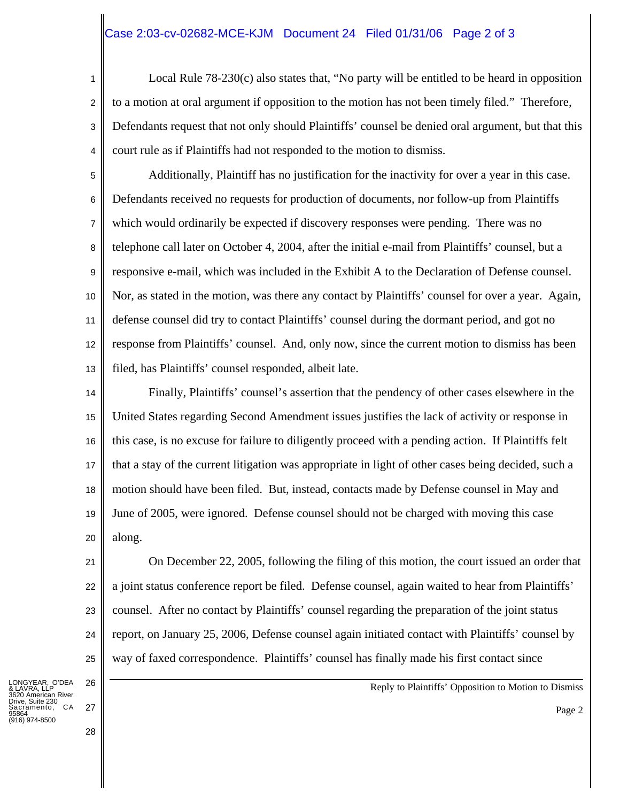## Case 2:03-cv-02682-MCE-KJM Document 24 Filed 01/31/06 Page 2 of 3

1 2 3 4 Local Rule 78-230(c) also states that, "No party will be entitled to be heard in opposition to a motion at oral argument if opposition to the motion has not been timely filed." Therefore, Defendants request that not only should Plaintiffs' counsel be denied oral argument, but that this court rule as if Plaintiffs had not responded to the motion to dismiss.

5 6 7 8 9 10 11 12 13 Additionally, Plaintiff has no justification for the inactivity for over a year in this case. Defendants received no requests for production of documents, nor follow-up from Plaintiffs which would ordinarily be expected if discovery responses were pending. There was no telephone call later on October 4, 2004, after the initial e-mail from Plaintiffs' counsel, but a responsive e-mail, which was included in the Exhibit A to the Declaration of Defense counsel. Nor, as stated in the motion, was there any contact by Plaintiffs' counsel for over a year. Again, defense counsel did try to contact Plaintiffs' counsel during the dormant period, and got no response from Plaintiffs' counsel. And, only now, since the current motion to dismiss has been filed, has Plaintiffs' counsel responded, albeit late.

14 15 16 17 18 19 20 Finally, Plaintiffs' counsel's assertion that the pendency of other cases elsewhere in the United States regarding Second Amendment issues justifies the lack of activity or response in this case, is no excuse for failure to diligently proceed with a pending action. If Plaintiffs felt that a stay of the current litigation was appropriate in light of other cases being decided, such a motion should have been filed. But, instead, contacts made by Defense counsel in May and June of 2005, were ignored. Defense counsel should not be charged with moving this case along.

27

28

On December 22, 2005, following the filing of this motion, the court issued an order that a joint status conference report be filed. Defense counsel, again waited to hear from Plaintiffs' counsel. After no contact by Plaintiffs' counsel regarding the preparation of the joint status report, on January 25, 2006, Defense counsel again initiated contact with Plaintiffs' counsel by way of faxed correspondence. Plaintiffs' counsel has finally made his first contact since

LONGYEAR, O'DEA & LAVRA, LLP American River Suite 230 , cano Loo<br>ramento, CA 95864 (916) 974-8500

Reply to Plaintiffs' Opposition to Motion to Dismiss

Page 2